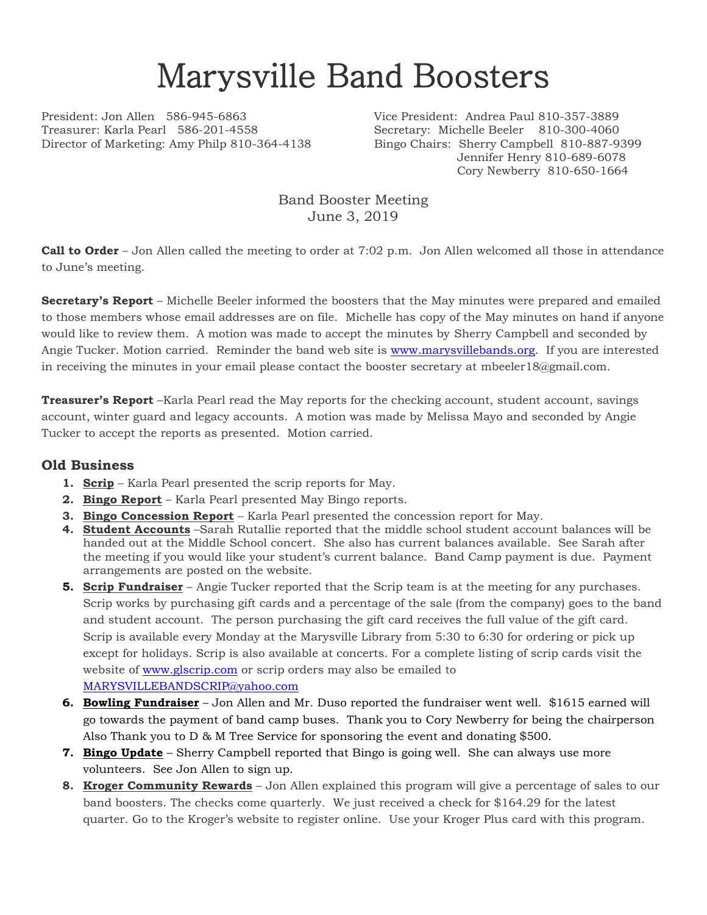## Marysville Band Boosters

Treasurer: Karla Pearl 586-201-4558 Secretary: Michelle Beeler 810-300-4060 Director of Marketing: Amy Philp 810-364-4138 Bingo Chairs: Sherry Campbell 810-887-9399

President: Jon Allen 586-945-6863 Vice President: Andrea Paul 810-357-3889 Jennifer Henry 810-689-6078 Cory Newberry 810-650-1664

> Band Booster Meeting June 3, 2019

**Call to Order** – Jon Allen called the meeting to order at 7:02 p.m. Jon Allen welcomed all those in attendance to June's meeting.

**Secretary's Report** – Michelle Beeler informed the boosters that the May minutes were prepared and emailed to those members whose email addresses are on file. Michelle has copy of the May minutes on hand if anyone would like to review them. A motion was made to accept the minutes by Sherry Campbell and seconded by Angie Tucker. Motion carried. Reminder the band web site is [www.marysvillebands.org.](http://www.marysvillebands.org/) If you are interested in receiving the minutes in your email please contact the booster secretary at mbeeler18@gmail.com.

**Treasurer's Report** –Karla Pearl read the May reports for the checking account, student account, savings account, winter guard and legacy accounts. A motion was made by Melissa Mayo and seconded by Angie Tucker to accept the reports as presented. Motion carried.

## **Old Business**

- **1. Scrip** Karla Pearl presented the scrip reports for May.
- **2. Bingo Report** Karla Pearl presented May Bingo reports.
- **3. Bingo Concession Report** Karla Pearl presented the concession report for May.
- **4. Student Accounts** –Sarah Rutallie reported that the middle school student account balances will be handed out at the Middle School concert. She also has current balances available. See Sarah after the meeting if you would like your student's current balance. Band Camp payment is due. Payment arrangements are posted on the website.
- **5. Scrip Fundraiser** Angie Tucker reported that the Scrip team is at the meeting for any purchases. Scrip works by purchasing gift cards and a percentage of the sale (from the company) goes to the band and student account. The person purchasing the gift card receives the full value of the gift card. Scrip is available every Monday at the Marysville Library from 5:30 to 6:30 for ordering or pick up except for holidays. Scrip is also available at concerts. For a complete listing of scrip cards visit the website of [www.glscrip.com](http://www.glscrip.com/) or scrip orders may also be emailed to [MARYSVILLEBANDSCRIP@yahoo.com](mailto:MARYSVILLEBANDSCRIP@yahoo.com)
- **6. Bowling Fundraiser** Jon Allen and Mr. Duso reported the fundraiser went well. \$1615 earned will go towards the payment of band camp buses. Thank you to Cory Newberry for being the chairperson Also Thank you to D & M Tree Service for sponsoring the event and donating \$500.
- **7. Bingo Update** Sherry Campbell reported that Bingo is going well. She can always use more volunteers. See Jon Allen to sign up.
- **8. Kroger Community Rewards** Jon Allen explained this program will give a percentage of sales to our band boosters. The checks come quarterly. We just received a check for \$164.29 for the latest quarter. Go to the Kroger's website to register online. Use your Kroger Plus card with this program.